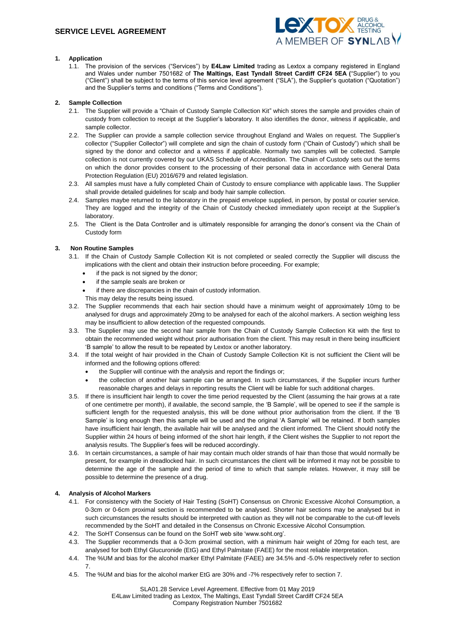

# **1. Application**

1.1. The provision of the services ("Services") by **E4Law Limited** trading as Lextox a company registered in England and Wales under number 7501682 of **The Maltings, East Tyndall Street Cardiff CF24 5EA (**"Supplier") to you ("Client") shall be subject to the terms of this service level agreement ("SLA"), the Supplier's quotation ("Quotation") and the Supplier's terms and conditions ("Terms and Conditions").

# **2. Sample Collection**

- 2.1. The Supplier will provide a "Chain of Custody Sample Collection Kit" which stores the sample and provides chain of custody from collection to receipt at the Supplier's laboratory. It also identifies the donor, witness if applicable, and sample collector.
- 2.2. The Supplier can provide a sample collection service throughout England and Wales on request. The Supplier's collector ("Supplier Collector") will complete and sign the chain of custody form ("Chain of Custody") which shall be signed by the donor and collector and a witness if applicable. Normally two samples will be collected. Sample collection is not currently covered by our UKAS Schedule of Accreditation. The Chain of Custody sets out the terms on which the donor provides consent to the processing of their personal data in accordance with General Data Protection Regulation (EU) 2016/679 and related legislation.
- 2.3. All samples must have a fully completed Chain of Custody to ensure compliance with applicable laws. The Supplier shall provide detailed guidelines for scalp and body hair sample collection.
- 2.4. Samples maybe returned to the laboratory in the prepaid envelope supplied, in person, by postal or courier service. They are logged and the integrity of the Chain of Custody checked immediately upon receipt at the Supplier's laboratory.
- 2.5. The Client is the Data Controller and is ultimately responsible for arranging the donor's consent via the Chain of Custody form

# **3. Non Routine Samples**

- 3.1. If the Chain of Custody Sample Collection Kit is not completed or sealed correctly the Supplier will discuss the implications with the client and obtain their instruction before proceeding. For example;
	- if the pack is not signed by the donor;
	- if the sample seals are broken or
	- if there are discrepancies in the chain of custody information.
	- This may delay the results being issued.
- 3.2. The Supplier recommends that each hair section should have a minimum weight of approximately 10mg to be analysed for drugs and approximately 20mg to be analysed for each of the alcohol markers. A section weighing less may be insufficient to allow detection of the requested compounds.
- 3.3. The Supplier may use the second hair sample from the Chain of Custody Sample Collection Kit with the first to obtain the recommended weight without prior authorisation from the client. This may result in there being insufficient 'B sample' to allow the result to be repeated by Lextox or another laboratory.
- 3.4. If the total weight of hair provided in the Chain of Custody Sample Collection Kit is not sufficient the Client will be informed and the following options offered:
	- the Supplier will continue with the analysis and report the findings or;
	- the collection of another hair sample can be arranged. In such circumstances, if the Supplier incurs further reasonable charges and delays in reporting results the Client will be liable for such additional charges.
- 3.5. If there is insufficient hair length to cover the time period requested by the Client (assuming the hair grows at a rate of one centimetre per month), if available, the second sample, the 'B Sample', will be opened to see if the sample is sufficient length for the requested analysis, this will be done without prior authorisation from the client. If the 'B Sample' is long enough then this sample will be used and the original 'A Sample' will be retained. If both samples have insufficient hair length, the available hair will be analysed and the client informed. The Client should notify the Supplier within 24 hours of being informed of the short hair length, if the Client wishes the Supplier to not report the analysis results. The Supplier's fees will be reduced accordingly.
- 3.6. In certain circumstances, a sample of hair may contain much older strands of hair than those that would normally be present, for example in dreadlocked hair. In such circumstances the client will be informed it may not be possible to determine the age of the sample and the period of time to which that sample relates. However, it may still be possible to determine the presence of a drug.

## **4. Analysis of Alcohol Markers**

- 4.1. For consistency with the Society of Hair Testing (SoHT) Consensus on Chronic Excessive Alcohol Consumption, a 0-3cm or 0-6cm proximal section is recommended to be analysed. Shorter hair sections may be analysed but in such circumstances the results should be interpreted with caution as they will not be comparable to the cut-off levels recommended by the SoHT and detailed in the Consensus on Chronic Excessive Alcohol Consumption.
- 4.2. The SoHT Consensus can be found on the SoHT web site 'www.soht.org'.
- 4.3. The Supplier recommends that a 0-3cm proximal section, with a minimum hair weight of 20mg for each test, are analysed for both Ethyl Glucuronide (EtG) and Ethyl Palmitate (FAEE) for the most reliable interpretation.
- 4.4. The %UM and bias for the alcohol marker Ethyl Palmitate (FAEE) are 34.5% and -5.0% respectively refer to section 7.
- 4.5. The %UM and bias for the alcohol marker EtG are 30% and -7% respectively refer to section 7.

SLA01.28 Service Level Agreement. Effective from 01 May 2019 E4Law Limited trading as Lextox, The Maltings, East Tyndall Street Cardiff CF24 5EA Company Registration Number 7501682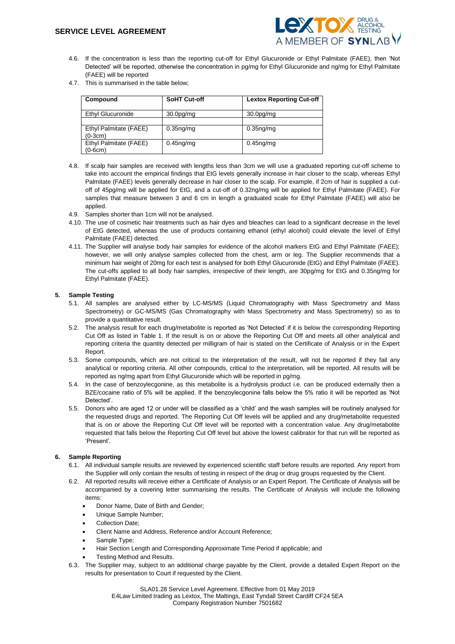

- 4.6. If the concentration is less than the reporting cut-off for Ethyl Glucuronide or Ethyl Palmitate (FAEE), then 'Not Detected' will be reported, otherwise the concentration in pg/mg for Ethyl Glucuronide and ng/mg for Ethyl Palmitate (FAEE) will be reported
- 4.7. This is summarised in the table below;

| Compound                            | <b>SoHT Cut-off</b>                | <b>Lextox Reporting Cut-off</b>    |
|-------------------------------------|------------------------------------|------------------------------------|
| Ethyl Glucuronide                   | 30.0 <sub>pg</sub> / <sub>mg</sub> | 30.0 <sub>pg</sub> / <sub>mg</sub> |
| Ethyl Palmitate (FAEE)<br>$(0-3cm)$ | $0.35ng$ /mg                       | $0.35ng$ /mg                       |
| Ethyl Palmitate (FAEE)<br>$(0-6cm)$ | $0.45$ ng/mg                       | $0.45ng$ mg                        |

- 4.8. If scalp hair samples are received with lengths less than 3cm we will use a graduated reporting cut-off scheme to take into account the empirical findings that EtG levels generally increase in hair closer to the scalp, whereas Ethyl Palmitate (FAEE) levels generally decrease in hair closer to the scalp. For example, if 2cm of hair is supplied a cutoff of 45pg/mg will be applied for EtG, and a cut-off of 0.32ng/mg will be applied for Ethyl Palmitate (FAEE). For samples that measure between 3 and 6 cm in length a graduated scale for Ethyl Palmitate (FAEE) will also be applied.
- 4.9. Samples shorter than 1cm will not be analysed.
- 4.10. The use of cosmetic hair treatments such as hair dyes and bleaches can lead to a significant decrease in the level of EtG detected, whereas the use of products containing ethanol (ethyl alcohol) could elevate the level of Ethyl Palmitate (FAEE) detected.
- 4.11. The Supplier will analyse body hair samples for evidence of the alcohol markers EtG and Ethyl Palmitate (FAEE); however, we will only analyse samples collected from the chest, arm or leg. The Supplier recommends that a minimum hair weight of 20mg for each test is analysed for both Ethyl Glucuronide (EtG) and Ethyl Palmitate (FAEE). The cut-offs applied to all body hair samples, irrespective of their length, are 30pg/mg for EtG and 0.35ng/mg for Ethyl Palmitate (FAEE).

## **5. Sample Testing**

- 5.1. All samples are analysed either by LC-MS/MS (Liquid Chromatography with Mass Spectrometry and Mass Spectrometry) or GC-MS/MS (Gas Chromatography with Mass Spectrometry and Mass Spectrometry) so as to provide a quantitative result.
- 5.2. The analysis result for each drug/metabolite is reported as 'Not Detected' if it is below the corresponding Reporting Cut Off as listed in Table 1. If the result is on or above the Reporting Cut Off and meets all other analytical and reporting criteria the quantity detected per milligram of hair is stated on the Certificate of Analysis or in the Expert Report.
- 5.3. Some compounds, which are not critical to the interpretation of the result, will not be reported if they fail any analytical or reporting criteria. All other compounds, critical to the interpretation, will be reported. All results will be reported as ng/mg apart from Ethyl Glucuronide which will be reported in pg/mg.
- 5.4. In the case of benzoylecgonine, as this metabolite is a hydrolysis product i.e. can be produced externally then a BZE/cocaine ratio of 5% will be applied. If the benzoylecgonine falls below the 5% ratio it will be reported as 'Not Detected'.
- 5.5. Donors who are aged 12 or under will be classified as a 'child' and the wash samples will be routinely analysed for the requested drugs and reported. The Reporting Cut Off levels will be applied and any drug/metabolite requested that is on or above the Reporting Cut Off level will be reported with a concentration value. Any drug/metabolite requested that falls below the Reporting Cut Off level but above the lowest calibrator for that run will be reported as 'Present'.

## **6. Sample Reporting**

- 6.1. All individual sample results are reviewed by experienced scientific staff before results are reported. Any report from the Supplier will only contain the results of testing in respect of the drug or drug groups requested by the Client.
- 6.2. All reported results will receive either a Certificate of Analysis or an Expert Report. The Certificate of Analysis will be accompanied by a covering letter summarising the results. The Certificate of Analysis will include the following items:
	- Donor Name, Date of Birth and Gender;
	- Unique Sample Number;
	- Collection Date;
	- Client Name and Address, Reference and/or Account Reference;
	- Sample Type;
	- Hair Section Length and Corresponding Approximate Time Period if applicable; and
	- Testing Method and Results.
- 6.3. The Supplier may, subject to an additional charge payable by the Client, provide a detailed Expert Report on the results for presentation to Court if requested by the Client.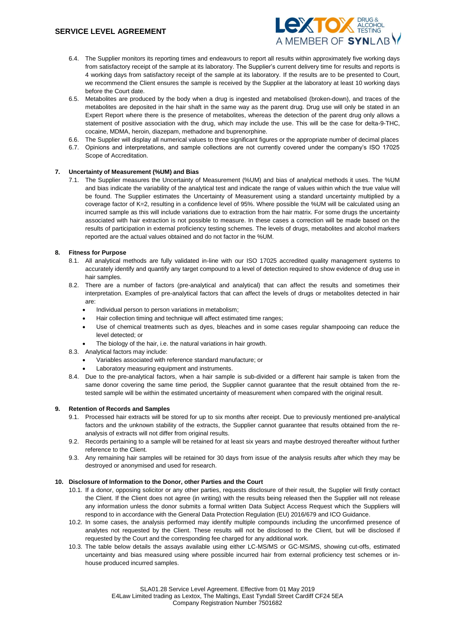

- 6.4. The Supplier monitors its reporting times and endeavours to report all results within approximately five working days from satisfactory receipt of the sample at its laboratory. The Supplier's current delivery time for results and reports is 4 working days from satisfactory receipt of the sample at its laboratory. If the results are to be presented to Court, we recommend the Client ensures the sample is received by the Supplier at the laboratory at least 10 working days before the Court date.
- 6.5. Metabolites are produced by the body when a drug is ingested and metabolised (broken-down), and traces of the metabolites are deposited in the hair shaft in the same way as the parent drug. Drug use will only be stated in an Expert Report where there is the presence of metabolites, whereas the detection of the parent drug only allows a statement of positive association with the drug, which may include the use. This will be the case for delta-9-THC, cocaine, MDMA, heroin, diazepam, methadone and buprenorphine.
- 6.6. The Supplier will display all numerical values to three significant figures or the appropriate number of decimal places
- 6.7. Opinions and interpretations, and sample collections are not currently covered under the company's ISO 17025 Scope of Accreditation.

## **7. Uncertainty of Measurement (%UM) and Bias**

7.1. The Supplier measures the Uncertainty of Measurement (%UM) and bias of analytical methods it uses. The %UM and bias indicate the variability of the analytical test and indicate the range of values within which the true value will be found. The Supplier estimates the Uncertainty of Measurement using a standard uncertainty multiplied by a coverage factor of K=2, resulting in a confidence level of 95%. Where possible the %UM will be calculated using an incurred sample as this will include variations due to extraction from the hair matrix. For some drugs the uncertainty associated with hair extraction is not possible to measure. In these cases a correction will be made based on the results of participation in external proficiency testing schemes. The levels of drugs, metabolites and alcohol markers reported are the actual values obtained and do not factor in the %UM.

## **8. Fitness for Purpose**

- 8.1. All analytical methods are fully validated in-line with our ISO 17025 accredited quality management systems to accurately identify and quantify any target compound to a level of detection required to show evidence of drug use in hair samples.
- 8.2. There are a number of factors (pre-analytical and analytical) that can affect the results and sometimes their interpretation. Examples of pre-analytical factors that can affect the levels of drugs or metabolites detected in hair are:
	- Individual person to person variations in metabolism;
	- Hair collection timing and technique will affect estimated time ranges;
	- Use of chemical treatments such as dyes, bleaches and in some cases regular shampooing can reduce the level detected; or
	- The biology of the hair, i.e. the natural variations in hair growth.
- 8.3. Analytical factors may include:
	- Variables associated with reference standard manufacture; or
	- Laboratory measuring equipment and instruments.
- 8.4. Due to the pre-analytical factors, when a hair sample is sub-divided or a different hair sample is taken from the same donor covering the same time period, the Supplier cannot quarantee that the result obtained from the retested sample will be within the estimated uncertainty of measurement when compared with the original result.

#### **9. Retention of Records and Samples**

- 9.1. Processed hair extracts will be stored for up to six months after receipt. Due to previously mentioned pre-analytical factors and the unknown stability of the extracts, the Supplier cannot quarantee that results obtained from the reanalysis of extracts will not differ from original results.
- 9.2. Records pertaining to a sample will be retained for at least six years and maybe destroyed thereafter without further reference to the Client.
- 9.3. Any remaining hair samples will be retained for 30 days from issue of the analysis results after which they may be destroyed or anonymised and used for research.

## **10. Disclosure of Information to the Donor, other Parties and the Court**

- 10.1. If a donor, opposing solicitor or any other parties, requests disclosure of their result, the Supplier will firstly contact the Client. If the Client does not agree (in writing) with the results being released then the Supplier will not release any information unless the donor submits a formal written Data Subject Access Request which the Suppliers will respond to in accordance with the General Data Protection Regulation (EU) 2016/679 and ICO Guidance.
- 10.2. In some cases, the analysis performed may identify multiple compounds including the unconfirmed presence of analytes not requested by the Client. These results will not be disclosed to the Client, but will be disclosed if requested by the Court and the corresponding fee charged for any additional work.
- 10.3. The table below details the assays available using either LC-MS/MS or GC-MS/MS, showing cut-offs, estimated uncertainty and bias measured using where possible incurred hair from external proficiency test schemes or inhouse produced incurred samples.

Company Registration Number 7501682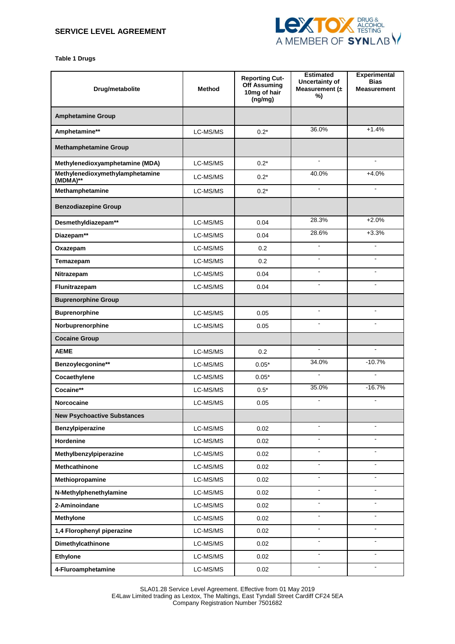

**Table 1 Drugs**

| Drug/metabolite                             | Method   | <b>Reporting Cut-</b><br>Off Assuming<br>10mg of hair<br>(ng/mg) | <b>Estimated</b><br>Uncertainty of<br>Measurement $(±$<br>%) | <b>Experimental</b><br><b>Bias</b><br><b>Measurement</b> |
|---------------------------------------------|----------|------------------------------------------------------------------|--------------------------------------------------------------|----------------------------------------------------------|
| <b>Amphetamine Group</b>                    |          |                                                                  |                                                              |                                                          |
| Amphetamine**                               | LC-MS/MS | $0.2*$                                                           | 36.0%                                                        | $+1.4%$                                                  |
| <b>Methamphetamine Group</b>                |          |                                                                  |                                                              |                                                          |
| Methylenedioxyamphetamine (MDA)             | LC-MS/MS | $0.2*$                                                           | $\overline{\phantom{a}}$                                     | $\blacksquare$                                           |
| Methylenedioxymethylamphetamine<br>(MDMA)** | LC-MS/MS | $0.2*$                                                           | 40.0%                                                        | $+4.0%$                                                  |
| Methamphetamine                             | LC-MS/MS | $0.2*$                                                           | ä,                                                           | L.                                                       |
| <b>Benzodiazepine Group</b>                 |          |                                                                  |                                                              |                                                          |
| Desmethyldiazepam**                         | LC-MS/MS | 0.04                                                             | 28.3%                                                        | $+2.0%$                                                  |
| Diazepam**                                  | LC-MS/MS | 0.04                                                             | 28.6%                                                        | $+3.3%$                                                  |
| Oxazepam                                    | LC-MS/MS | 0.2 <sub>0</sub>                                                 |                                                              |                                                          |
| Temazepam                                   | LC-MS/MS | 0.2                                                              | $\blacksquare$                                               | $\overline{\phantom{a}}$                                 |
| Nitrazepam                                  | LC-MS/MS | 0.04                                                             | $\blacksquare$                                               | $\blacksquare$                                           |
| Flunitrazepam                               | LC-MS/MS | 0.04                                                             | $\blacksquare$                                               |                                                          |
| <b>Buprenorphine Group</b>                  |          |                                                                  |                                                              |                                                          |
| <b>Buprenorphine</b>                        | LC-MS/MS | 0.05                                                             | $\blacksquare$                                               | $\sim$                                                   |
| Norbuprenorphine                            | LC-MS/MS | 0.05                                                             |                                                              |                                                          |
| <b>Cocaine Group</b>                        |          |                                                                  |                                                              |                                                          |
| <b>AEME</b>                                 | LC-MS/MS | 0.2                                                              | $\blacksquare$                                               | $\blacksquare$                                           |
| Benzoylecgonine**                           | LC-MS/MS | $0.05*$                                                          | 34.0%                                                        | $-10.7%$                                                 |
| Cocaethylene                                | LC-MS/MS | $0.05*$                                                          | $\blacksquare$                                               | $\blacksquare$                                           |
| Cocaine**                                   | LC-MS/MS | $0.5*$                                                           | 35.0%                                                        | $-16.7%$                                                 |
| <b>Norcocaine</b>                           | LC-MS/MS | 0.05                                                             | $\blacksquare$                                               | $\mathbf{r}$                                             |
| <b>New Psychoactive Substances</b>          |          |                                                                  |                                                              |                                                          |
| Benzylpiperazine                            | LC-MS/MS | 0.02                                                             | $\blacksquare$                                               | $\blacksquare$                                           |
| Hordenine                                   | LC-MS/MS | 0.02                                                             | $\blacksquare$                                               | $\sim$                                                   |
| Methylbenzylpiperazine                      | LC-MS/MS | 0.02                                                             | $\blacksquare$                                               | $\blacksquare$                                           |
| Methcathinone                               | LC-MS/MS | 0.02                                                             | $\blacksquare$                                               | $\blacksquare$                                           |
| Methiopropamine                             | LC-MS/MS | 0.02                                                             | $\blacksquare$                                               | $\blacksquare$                                           |
| N-Methylphenethylamine                      | LC-MS/MS | 0.02                                                             | $\blacksquare$                                               | $\blacksquare$                                           |
| 2-Aminoindane                               | LC-MS/MS | 0.02                                                             | $\blacksquare$                                               | $\blacksquare$                                           |
| <b>Methylone</b>                            | LC-MS/MS | 0.02                                                             | $\blacksquare$                                               | ÷.                                                       |
| 1,4 Florophenyl piperazine                  | LC-MS/MS | 0.02                                                             | $\omega$                                                     | $\blacksquare$                                           |
| Dimethylcathinone                           | LC-MS/MS | 0.02                                                             | $\blacksquare$                                               | $\blacksquare$                                           |
| <b>Ethylone</b>                             | LC-MS/MS | 0.02                                                             | $\blacksquare$                                               | $\blacksquare$                                           |
| 4-Fluroamphetamine                          | LC-MS/MS | 0.02                                                             |                                                              |                                                          |

SLA01.28 Service Level Agreement. Effective from 01 May 2019 E4Law Limited trading as Lextox, The Maltings, East Tyndall Street Cardiff CF24 5EA Company Registration Number 7501682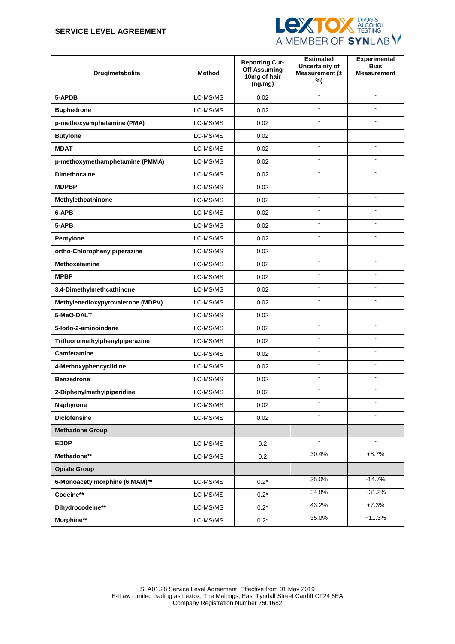# **SERVICE LEVEL AGREEMENT**



| Drug/metabolite                   | <b>Method</b> | <b>Reporting Cut-</b><br><b>Off Assuming</b><br>10mg of hair<br>(ng/mg) | <b>Estimated</b><br>Uncertainty of<br>Measurement $(±$<br>%) | <b>Experimental</b><br><b>Bias</b><br><b>Measurement</b> |
|-----------------------------------|---------------|-------------------------------------------------------------------------|--------------------------------------------------------------|----------------------------------------------------------|
| 5-APDB                            | LC-MS/MS      | 0.02                                                                    | $\blacksquare$                                               | $\blacksquare$                                           |
| <b>Buphedrone</b>                 | LC-MS/MS      | 0.02                                                                    |                                                              |                                                          |
| p-methoxyamphetamine (PMA)        | LC-MS/MS      | 0.02                                                                    |                                                              |                                                          |
| <b>Butylone</b>                   | LC-MS/MS      | 0.02                                                                    | $\blacksquare$                                               | ÷.                                                       |
| <b>MDAT</b>                       | LC-MS/MS      | 0.02                                                                    | $\blacksquare$                                               | $\blacksquare$                                           |
| p-methoxymethamphetamine (PMMA)   | LC-MS/MS      | 0.02                                                                    | ÷,                                                           | $\overline{a}$                                           |
| <b>Dimethocaine</b>               | LC-MS/MS      | 0.02                                                                    |                                                              |                                                          |
| <b>MDPBP</b>                      | LC-MS/MS      | 0.02                                                                    | $\blacksquare$                                               |                                                          |
| Methylethcathinone                | LC-MS/MS      | 0.02                                                                    | $\blacksquare$                                               | $\overline{a}$                                           |
| 6-APB                             | LC-MS/MS      | 0.02                                                                    | $\overline{a}$                                               | $\overline{a}$                                           |
| 5-APB                             | LC-MS/MS      | 0.02                                                                    | $\blacksquare$                                               | $\blacksquare$                                           |
| Pentylone                         | LC-MS/MS      | 0.02                                                                    | ÷,                                                           | $\overline{a}$                                           |
| ortho-Chlorophenylpiperazine      | LC-MS/MS      | 0.02                                                                    | ä,                                                           | $\overline{a}$                                           |
| <b>Methoxetamine</b>              | LC-MS/MS      | 0.02                                                                    | $\blacksquare$                                               | $\blacksquare$                                           |
| <b>MPBP</b>                       | LC-MS/MS      | 0.02                                                                    | $\blacksquare$                                               | $\overline{a}$                                           |
| 3,4-Dimethylmethcathinone         | LC-MS/MS      | 0.02                                                                    | ÷                                                            | ÷                                                        |
| Methylenedioxypyrovalerone (MDPV) | LC-MS/MS      | 0.02                                                                    |                                                              |                                                          |
| 5-MeO-DALT                        | LC-MS/MS      | 0.02                                                                    | ÷,                                                           | $\overline{a}$                                           |
| 5-lodo-2-aminoindane              | LC-MS/MS      | 0.02                                                                    | $\blacksquare$                                               | ÷                                                        |
| Trifluoromethylphenylpiperazine   | LC-MS/MS      | 0.02                                                                    | $\blacksquare$                                               | $\blacksquare$                                           |
| Camfetamine                       | LC-MS/MS      | 0.02                                                                    | ÷                                                            |                                                          |
| 4-Methoxyphencyclidine            | LC-MS/MS      | 0.02                                                                    | $\overline{a}$                                               | $\overline{a}$                                           |
| <b>Benzedrone</b>                 | LC-MS/MS      | 0.02                                                                    | $\blacksquare$                                               | $\blacksquare$                                           |
| 2-Diphenylmethylpiperidine        | LC-MS/MS      | 0.02                                                                    | $\blacksquare$                                               | $\blacksquare$                                           |
| Naphyrone                         | LC-MS/MS      | 0.02                                                                    |                                                              |                                                          |
| <b>Diclofensine</b>               | LC-MS/MS      | 0.02                                                                    |                                                              |                                                          |
| <b>Methadone Group</b>            |               |                                                                         |                                                              |                                                          |
| <b>EDDP</b>                       | LC-MS/MS      | 0.2                                                                     | $\omega$                                                     | $\mathbf{r}$                                             |
| Methadone**                       | LC-MS/MS      | 0.2                                                                     | 30.4%                                                        | $+8.7%$                                                  |
| <b>Opiate Group</b>               |               |                                                                         |                                                              |                                                          |
| 6-Monoacetylmorphine (6 MAM)**    | LC-MS/MS      | $0.2*$                                                                  | 35.0%                                                        | $-14.7%$                                                 |
| Codeine**                         | LC-MS/MS      | $0.2*$                                                                  | 34.8%                                                        | $+31.2%$                                                 |
| Dihydrocodeine**                  | LC-MS/MS      | $0.2*$                                                                  | 43.2%                                                        | $+7.3%$                                                  |
| Morphine**                        | LC-MS/MS      | $0.2^{\star}$                                                           | 35.0%                                                        | $+11.3%$                                                 |